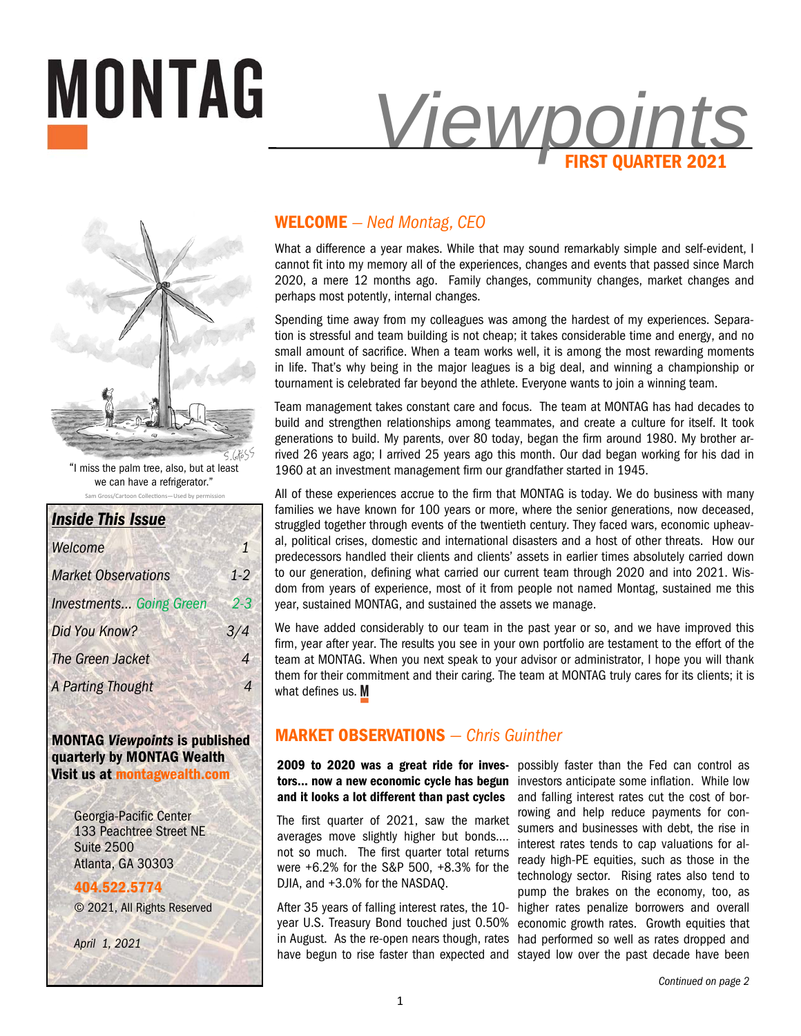



"I miss the palm tree, also, but at least we can have a refrigerator."

Sam Gross/Cartoon Collections-Used by permis

| <b>Inside This Issue</b>       |         |
|--------------------------------|---------|
| Welcome                        | 1       |
| <b>Market Observations</b>     | $1-2$   |
| <b>Investments Going Green</b> | $2 - 3$ |
| Did You Know?                  | 3/4     |
| The Green Jacket               | Δ       |
| <b>A Parting Thought</b>       |         |

**MONTAG** *Viewpoints* **is published quarterly by MONTAG Wealth Visit us at montagwealth.com** 

> Georgia-Pacific Center 133 Peachtree Street NE Suite 2500 Atlanta, GA 30303

**404.522.5774** © 2021, All Rights Reserved

*April 1, 2021* 

# **WELCOME** *— Ned Montag, CEO*

What a difference a year makes. While that may sound remarkably simple and self-evident, I cannot fit into my memory all of the experiences, changes and events that passed since March 2020, a mere 12 months ago. Family changes, community changes, market changes and perhaps most potently, internal changes.

Spending time away from my colleagues was among the hardest of my experiences. Separation is stressful and team building is not cheap; it takes considerable time and energy, and no small amount of sacrifice. When a team works well, it is among the most rewarding moments in life. That's why being in the major leagues is a big deal, and winning a championship or tournament is celebrated far beyond the athlete. Everyone wants to join a winning team.

Team management takes constant care and focus. The team at MONTAG has had decades to build and strengthen relationships among teammates, and create a culture for itself. It took generations to build. My parents, over 80 today, began the firm around 1980. My brother arrived 26 years ago; I arrived 25 years ago this month. Our dad began working for his dad in 1960 at an investment management firm our grandfather started in 1945.

All of these experiences accrue to the firm that MONTAG is today. We do business with many families we have known for 100 years or more, where the senior generations, now deceased, struggled together through events of the twentieth century. They faced wars, economic upheaval, political crises, domestic and international disasters and a host of other threats. How our predecessors handled their clients and clients' assets in earlier times absolutely carried down to our generation, defining what carried our current team through 2020 and into 2021. Wisdom from years of experience, most of it from people not named Montag, sustained me this year, sustained MONTAG, and sustained the assets we manage.

We have added considerably to our team in the past year or so, and we have improved this firm, year after year. The results you see in your own portfolio are testament to the effort of the team at MONTAG. When you next speak to your advisor or administrator, I hope you will thank them for their commitment and their caring. The team at MONTAG truly cares for its clients; it is what defines us. M

# **MARKET OBSERVATIONS** *— Chris Guinther*

**2009 to 2020 was a great ride for inves-**possibly faster than the Fed can control as **tors… now a new economic cycle has begun**  investors anticipate some inflation. While low **and it looks a lot different than past cycles** 

The first quarter of 2021, saw the market averages move slightly higher but bonds…. not so much. The first quarter total returns were +6.2% for the S&P 500, +8.3% for the DJIA, and +3.0% for the NASDAQ.

year U.S. Treasury Bond touched just 0.50% in August. As the re-open nears though, rates

After 35 years of falling interest rates, the 10- higher rates penalize borrowers and overall have begun to rise faster than expected and stayed low over the past decade have been and falling interest rates cut the cost of borrowing and help reduce payments for consumers and businesses with debt, the rise in interest rates tends to cap valuations for already high-PE equities, such as those in the technology sector. Rising rates also tend to pump the brakes on the economy, too, as economic growth rates. Growth equities that had performed so well as rates dropped and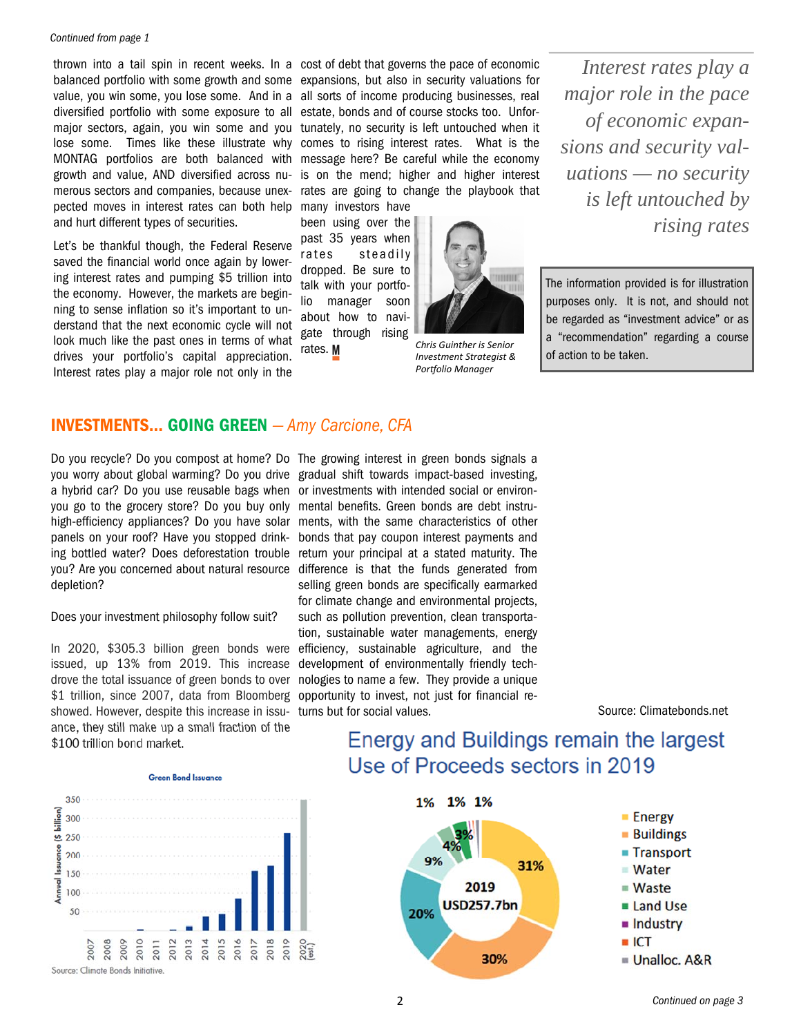#### *Continued from page 1*

value, you win some, you lose some. And in a diversified portfolio with some exposure to all lose some. Times like these illustrate why MONTAG portfolios are both balanced with growth and value, AND diversified across numerous sectors and companies, because unexpected moves in interest rates can both help and hurt different types of securities.

Let's be thankful though, the Federal Reserve saved the financial world once again by lowering interest rates and pumping \$5 trillion into the economy. However, the markets are beginning to sense inflation so it's important to understand that the next economic cycle will not look much like the past ones in terms of what drives your portfolio's capital appreciation. Interest rates play a major role not only in the

thrown into a tail spin in recent weeks. In a cost of debt that governs the pace of economic balanced portfolio with some growth and some expansions, but also in security valuations for major sectors, again, you win some and you tunately, no security is left untouched when it all sorts of income producing businesses, real estate, bonds and of course stocks too. Unforcomes to rising interest rates. What is the message here? Be careful while the economy is on the mend; higher and higher interest rates are going to change the playbook that

many investors have been using over the past 35 years when rates steadily dropped. Be sure to talk with your portfolio manager soon about how to navigate through rising rates.



*Chris Guinther is Senior Investment Strategist & Porƞolio Manager* 

*Interest rates play a major role in the pace of economic expansions and security valuations — no security is left untouched by rising rates* 

The information provided is for illustration purposes only. It is not, and should not be regarded as "investment advice" or as a "recommendation" regarding a course of action to be taken.

## **INVESTMENTS… GOING GREEN** *— Amy Carcione, CFA*

Do you recycle? Do you compost at home? Do The growing interest in green bonds signals a you worry about global warming? Do you drive gradual shift towards impact-based investing, a hybrid car? Do you use reusable bags when or investments with intended social or environyou go to the grocery store? Do you buy only mental benefits. Green bonds are debt instruhigh-efficiency appliances? Do you have solar ments, with the same characteristics of other panels on your roof? Have you stopped drink-bonds that pay coupon interest payments and ing bottled water? Does deforestation trouble return your principal at a stated maturity. The you? Are you concerned about natural resource depletion?

Does your investment philosophy follow suit?

In 2020, \$305.3 billion green bonds were issued, up 13% from 2019. This increase drove the total issuance of green bonds to over \$1 trillion, since 2007, data from Bloomberg showed. However, despite this increase in issuance, they still make up a small fraction of the \$100 trillion bond market.



difference is that the funds generated from selling green bonds are specifically earmarked for climate change and environmental projects, such as pollution prevention, clean transportation, sustainable water managements, energy efficiency, sustainable agriculture, and the development of environmentally friendly technologies to name a few. They provide a unique opportunity to invest, not just for financial returns but for social values.

Source: Climatebonds.net

# Energy and Buildings remain the largest Use of Proceeds sectors in 2019



*Continued on page 3*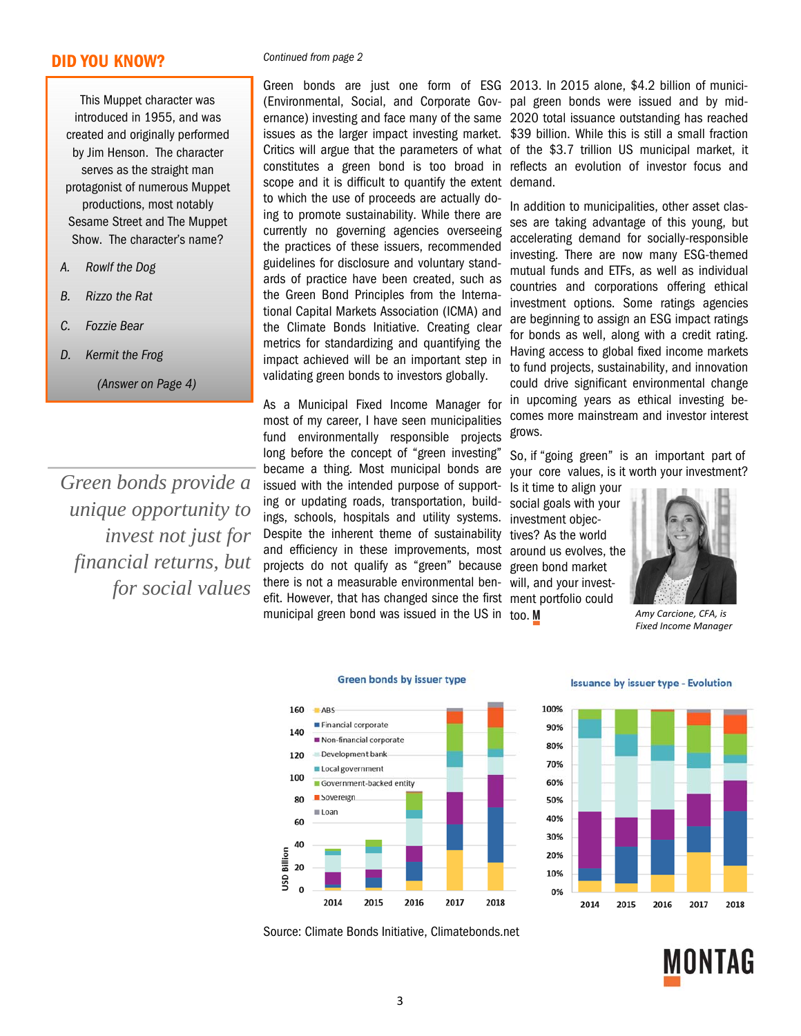### **DID YOU KNOW?**

This Muppet character was introduced in 1955, and was created and originally performed by Jim Henson. The character serves as the straight man protagonist of numerous Muppet productions, most notably Sesame Street and The Muppet Show. The character's name?

- *A. Rowlf the Dog*
- *B. Rizzo the Rat*
- *C. Fozzie Bear*
- *D. Kermit the Frog*

*(Answer on Page 4)* 

*Green bonds provide a unique opportunity to invest not just for financial returns, but for social values* 

#### *Continued from page 2*

(Environmental, Social, and Corporate Gov-pal green bonds were issued and by midernance) investing and face many of the same 2020 total issuance outstanding has reached issues as the larger impact investing market. \$39 billion. While this is still a small fraction Critics will argue that the parameters of what of the \$3.7 trillion US municipal market, it constitutes a green bond is too broad in reflects an evolution of investor focus and scope and it is difficult to quantify the extent demand. to which the use of proceeds are actually doing to promote sustainability. While there are currently no governing agencies overseeing the practices of these issuers, recommended guidelines for disclosure and voluntary standards of practice have been created, such as the Green Bond Principles from the International Capital Markets Association (ICMA) and the Climate Bonds Initiative. Creating clear metrics for standardizing and quantifying the impact achieved will be an important step in validating green bonds to investors globally.

As a Municipal Fixed Income Manager for most of my career, I have seen municipalities fund environmentally responsible projects long before the concept of "green investing" became a thing. Most municipal bonds are issued with the intended purpose of supporting or updating roads, transportation, buildings, schools, hospitals and utility systems. Despite the inherent theme of sustainability and efficiency in these improvements, most around us evolves, the projects do not qualify as "green" because there is not a measurable environmental ben-will, and your investefit. However, that has changed since the first ment portfolio could municipal green bond was issued in the US in too.

Green bonds are just one form of ESG 2013. In 2015 alone, \$4.2 billion of munici-

In addition to municipalities, other asset classes are taking advantage of this young, but accelerating demand for socially-responsible investing. There are now many ESG-themed mutual funds and ETFs, as well as individual countries and corporations offering ethical investment options. Some ratings agencies are beginning to assign an ESG impact ratings for bonds as well, along with a credit rating. Having access to global fixed income markets to fund projects, sustainability, and innovation could drive significant environmental change in upcoming years as ethical investing becomes more mainstream and investor interest grows.

So, if "going green" is an important part of your core values, is it worth your investment?

Is it time to align your social goals with your investment objectives? As the world green bond market



*Amy Carcione, CFA, is Fixed Income Manager* 





Source: Climate Bonds Initiative, Climatebonds.net

#### **Issuance by issuer type - Evolution**